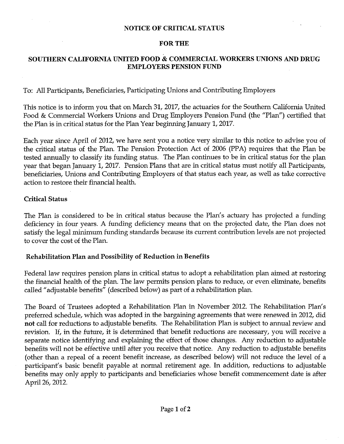#### NOTICE OF CRITICAL STATUS

#### FOR THE

### SOUTHERN CALIFORNIA UNITED FOOD & COMMERCIAL WORKERS UNIONS AND DRUG EMPLOYERS PENSION FUND

To: All Participants, Beneficiaries, Participating Unions and Contributing Employers

This notice is to inform you that on March 31, 2017, the actuaries for the Southern California United Food & Commercial Workers Unions and Drug Employers Pension Fund (the "Plan") certified that the Plan is in critical status for the Plan Year beginning January 1, 2017.

Each year since April of 2012, we have sent you a notice very similar to this notice to advise you of the critical status of the Plan. The Pension Protection Act of 2006 (PPA) requires that the Plan be tested annually to classify its funding status. The Plan continues to be in critical status for the plan year that began January 1, 2017. Pension Plans that are in critical status must notify all Participants, beneficiaries, Unions and Contributing Employers of that status each year, as well as take corrective action to restore their financial health.

#### Critical Status

The Plan is considered to be in critical status because the Plan's actuary has projected a funding deficiency in four years. A funding deficiency means that on the projected date, the Plan does not satisfy the legal minimum funding standards because its current contribution levels are not projected to cover the cost of the Plan.

#### Rehabilitation Plan and Possibility of Reduction in Benefits

Federal law requires pension plans in critical status to adopt a rehabilitation plan aimed at restoring the financial health of the plan. The law permits pension plans to reduce, or even eliminate, benefits called" adjustable benefits" (described below) as part of a rehabilitation plan.

The Board of Trustees adopted a Rehabilitation Plan in November 2012. The Rehabilitation Plan's preferred schedule, which was adopted in the bargaining agreements that were renewed in 2012, did not call for reductions to adjustable benefits. The Rehabilitation Plan is subject to annual review and revision. If, in the future, it is determined that benefit reductions are necessary, you will receive a separate notice identifying and explaining the effect of those changes. Any reduction to adjustable benefits will not be effective until after you receive that notice. Any reduction to adjustable benefits (other than a repeal of a recent benefit increase, as described below) will not reduce the level of a participant's basic benefit payable at normal retirement age. In addition, reductions to adjustable benefits may only apply to participants and beneficiaries whose benefit commencement date is after April 26, 2012.